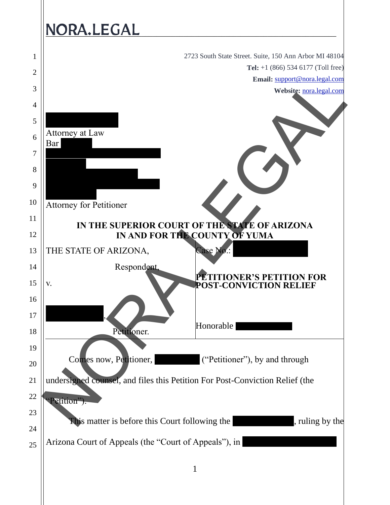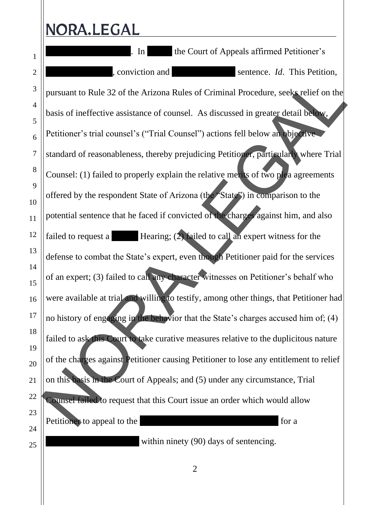#### NORA.LEGAL 1 2 3 4 5 6 7 8 9 10 11 12 13 14 15 16 17 18 19 20 21 22 23 24 25 In the Court of Appeals affirmed Petitioner's November 2, 2017, 2017, 2017, 2017, 2017, 2017, 2017, 2017, 2017, 2018, 2019, *sentence. <i>Id.* This Petition, pursuant to Rule 32 of the Arizona Rules of Criminal Procedure, seeks relief on the basis of ineffective assistance of counsel. As discussed in greater detail below, Petitioner's trial counsel's ("Trial Counsel") actions fell below an objective standard of reasonableness, thereby prejudicing Petitioner, particularly where Trial Counsel: (1) failed to properly explain the relative merits of two plea agreements offered by the respondent State of Arizona (the "State") in comparison to the potential sentence that he faced if convicted of the charges against him, and also failed to request a  $\blacksquare$  Hearing; (2) failed to call an expert witness for the defense to combat the State's expert, even though Petitioner paid for the services of an expert; (3) failed to call any character witnesses on Petitioner's behalf who were available at trial and willing to testify, among other things, that Petitioner had no history of engaging in the behavior that the State's charges accused him of; (4) failed to ask this Court to take curative measures relative to the duplicitous nature of the charges against Petitioner causing Petitioner to lose any entitlement to relief on this basis in the Court of Appeals; and (5) under any circumstance, Trial Counsel failed to request that this Court issue an order which would allow Petitioner to appeal to the Arizona Board of Executive Contract Contract Contract Contract Contract Contract Contract Contract Contract Contract Contract Contract Contract Contract Contract Contract Contract Contract Contr pursuant to Rule 32 of the Arizona Rules of Criminal Procedure, seeks relief on the<br>basis of ineffective assistance of counsel. As discussed in greater detail below.<br>Peritrioner's trial counsel's ("Trial Counsel") actions within ninety (90) days of sentencing.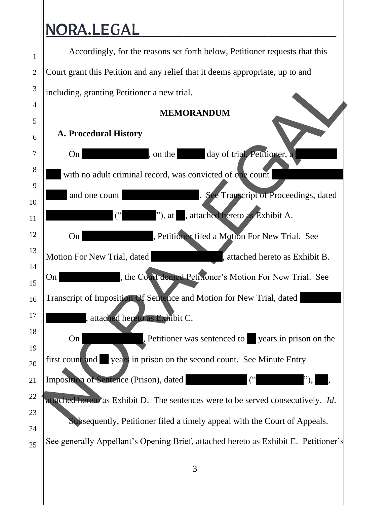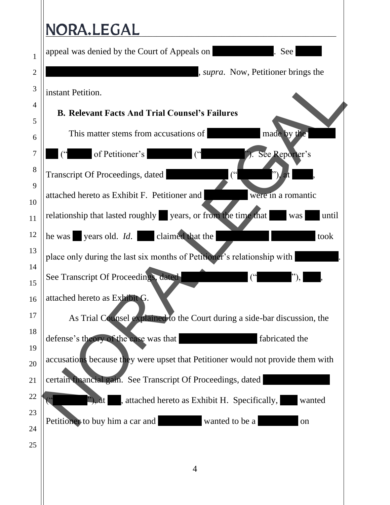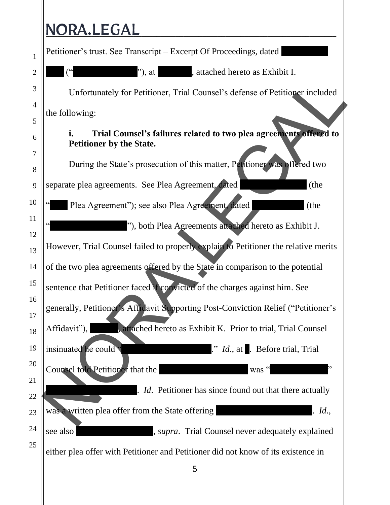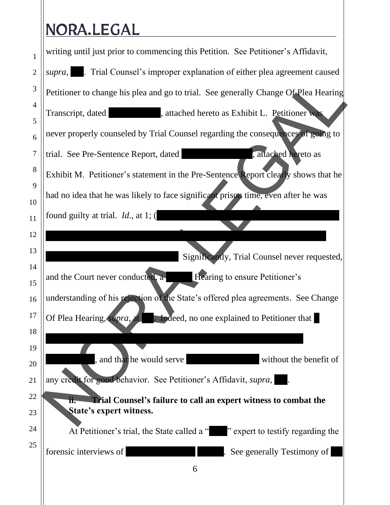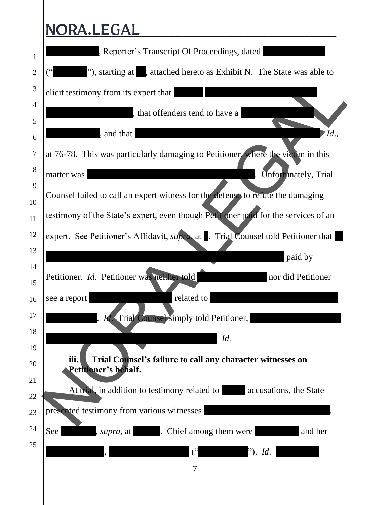| <b>NORA.LEGAL</b><br>, Reporter's Transcript Of Proceedings, dated<br>"), starting at $\blacksquare$ , attached hereto as Exhibit N. The State was able to<br>elicit testimony from its expert that<br>, that offenders tend to have a<br>, and that<br>Id.,<br>at 76-78. This was particularly damaging to Petitioner, where the victim in this<br>Unfortunately, Trial<br>matter was<br>Counsel failed to call an expert witness for the defense to refute the damaging<br>testimony of the State's expert, even though Petitioner paid for the services of an<br>expert. See Petitioner's Affidavit, supra, at . Trial Counsel told Petitioner that<br>paid by<br>Petitioner. Id. Petitioner was neither told<br>nor did Petitioner<br>related to<br>see a report<br><i>Id.</i> Trial Counsel simply told Petitioner,<br>Id.<br>Trial Counsel's failure to call any character witnesses on<br>iii.<br>Petitioner's behalf.<br>At trial, in addition to testimony related to accusations, the State<br>presented testimony from various witnesses<br><i>supra</i> , at . Chief among them were<br>See<br>and her<br>(<br>"). $Id.$<br>7 |  |
|-------------------------------------------------------------------------------------------------------------------------------------------------------------------------------------------------------------------------------------------------------------------------------------------------------------------------------------------------------------------------------------------------------------------------------------------------------------------------------------------------------------------------------------------------------------------------------------------------------------------------------------------------------------------------------------------------------------------------------------------------------------------------------------------------------------------------------------------------------------------------------------------------------------------------------------------------------------------------------------------------------------------------------------------------------------------------------------------------------------------------------------------|--|
|                                                                                                                                                                                                                                                                                                                                                                                                                                                                                                                                                                                                                                                                                                                                                                                                                                                                                                                                                                                                                                                                                                                                           |  |
|                                                                                                                                                                                                                                                                                                                                                                                                                                                                                                                                                                                                                                                                                                                                                                                                                                                                                                                                                                                                                                                                                                                                           |  |
|                                                                                                                                                                                                                                                                                                                                                                                                                                                                                                                                                                                                                                                                                                                                                                                                                                                                                                                                                                                                                                                                                                                                           |  |
|                                                                                                                                                                                                                                                                                                                                                                                                                                                                                                                                                                                                                                                                                                                                                                                                                                                                                                                                                                                                                                                                                                                                           |  |
|                                                                                                                                                                                                                                                                                                                                                                                                                                                                                                                                                                                                                                                                                                                                                                                                                                                                                                                                                                                                                                                                                                                                           |  |
|                                                                                                                                                                                                                                                                                                                                                                                                                                                                                                                                                                                                                                                                                                                                                                                                                                                                                                                                                                                                                                                                                                                                           |  |
|                                                                                                                                                                                                                                                                                                                                                                                                                                                                                                                                                                                                                                                                                                                                                                                                                                                                                                                                                                                                                                                                                                                                           |  |
|                                                                                                                                                                                                                                                                                                                                                                                                                                                                                                                                                                                                                                                                                                                                                                                                                                                                                                                                                                                                                                                                                                                                           |  |
|                                                                                                                                                                                                                                                                                                                                                                                                                                                                                                                                                                                                                                                                                                                                                                                                                                                                                                                                                                                                                                                                                                                                           |  |
|                                                                                                                                                                                                                                                                                                                                                                                                                                                                                                                                                                                                                                                                                                                                                                                                                                                                                                                                                                                                                                                                                                                                           |  |
|                                                                                                                                                                                                                                                                                                                                                                                                                                                                                                                                                                                                                                                                                                                                                                                                                                                                                                                                                                                                                                                                                                                                           |  |
|                                                                                                                                                                                                                                                                                                                                                                                                                                                                                                                                                                                                                                                                                                                                                                                                                                                                                                                                                                                                                                                                                                                                           |  |
|                                                                                                                                                                                                                                                                                                                                                                                                                                                                                                                                                                                                                                                                                                                                                                                                                                                                                                                                                                                                                                                                                                                                           |  |
|                                                                                                                                                                                                                                                                                                                                                                                                                                                                                                                                                                                                                                                                                                                                                                                                                                                                                                                                                                                                                                                                                                                                           |  |
|                                                                                                                                                                                                                                                                                                                                                                                                                                                                                                                                                                                                                                                                                                                                                                                                                                                                                                                                                                                                                                                                                                                                           |  |
|                                                                                                                                                                                                                                                                                                                                                                                                                                                                                                                                                                                                                                                                                                                                                                                                                                                                                                                                                                                                                                                                                                                                           |  |
|                                                                                                                                                                                                                                                                                                                                                                                                                                                                                                                                                                                                                                                                                                                                                                                                                                                                                                                                                                                                                                                                                                                                           |  |
|                                                                                                                                                                                                                                                                                                                                                                                                                                                                                                                                                                                                                                                                                                                                                                                                                                                                                                                                                                                                                                                                                                                                           |  |
|                                                                                                                                                                                                                                                                                                                                                                                                                                                                                                                                                                                                                                                                                                                                                                                                                                                                                                                                                                                                                                                                                                                                           |  |
|                                                                                                                                                                                                                                                                                                                                                                                                                                                                                                                                                                                                                                                                                                                                                                                                                                                                                                                                                                                                                                                                                                                                           |  |
|                                                                                                                                                                                                                                                                                                                                                                                                                                                                                                                                                                                                                                                                                                                                                                                                                                                                                                                                                                                                                                                                                                                                           |  |
|                                                                                                                                                                                                                                                                                                                                                                                                                                                                                                                                                                                                                                                                                                                                                                                                                                                                                                                                                                                                                                                                                                                                           |  |
|                                                                                                                                                                                                                                                                                                                                                                                                                                                                                                                                                                                                                                                                                                                                                                                                                                                                                                                                                                                                                                                                                                                                           |  |
|                                                                                                                                                                                                                                                                                                                                                                                                                                                                                                                                                                                                                                                                                                                                                                                                                                                                                                                                                                                                                                                                                                                                           |  |
|                                                                                                                                                                                                                                                                                                                                                                                                                                                                                                                                                                                                                                                                                                                                                                                                                                                                                                                                                                                                                                                                                                                                           |  |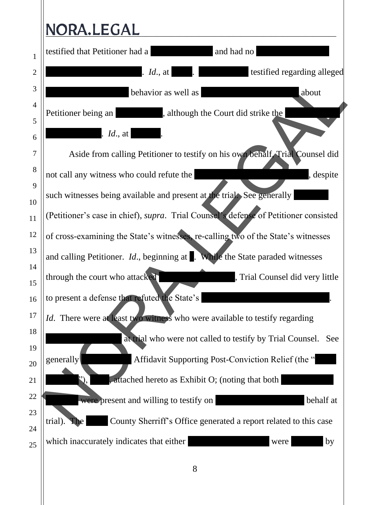| $\mathbf{1}$   | testified that Petitioner had a<br>and had no                                                   |
|----------------|-------------------------------------------------------------------------------------------------|
| $\overline{2}$ | . lesseming alleged testified regarding alleged<br>$Id.,$ at                                    |
| 3              | behavior as well as<br>about                                                                    |
| $\overline{4}$ | , although the Court did strike the<br>Petitioner being an                                      |
| 5<br>6         | $Id.,$ at                                                                                       |
| 7              | Aside from calling Petitioner to testify on his own behalf. Trial Counsel did                   |
| 8              | not call any witness who could refute the<br>, despite                                          |
| 9              | such witnesses being available and present at the trial. See generally                          |
| 10             | (Petitioner's case in chief), <i>supra</i> . Trial Counsel's defense of Petitioner consisted    |
| 11<br>12       | of cross-examining the State's witnesses, re-calling two of the State's witnesses               |
| 13             |                                                                                                 |
| 14             | and calling Petitioner. $Id.$ , beginning at $\blacksquare$ . While the State paraded witnesses |
| 15             | through the court who attacked<br>, Trial Counsel did very little                               |
| 16             | to present a defense that refuted the State's                                                   |
| 17<br>18       | There were at least two witness who were available to testify regarding                         |
| 19             | at trial who were not called to testify by Trial Counsel. See                                   |
| 20             | Affidavit Supporting Post-Conviction Relief (the "<br>generally                                 |
| 21             | <b>22)</b> ,<br>, attached hereto as Exhibit O; (noting that both                               |
| 22<br>23       | behalf at<br>were present and willing to testify on                                             |
| 24             | County Sherriff's Office generated a report related to this case<br>trial).<br><b>The</b>       |
| 25             | which inaccurately indicates that either<br>by<br>were                                          |
|                |                                                                                                 |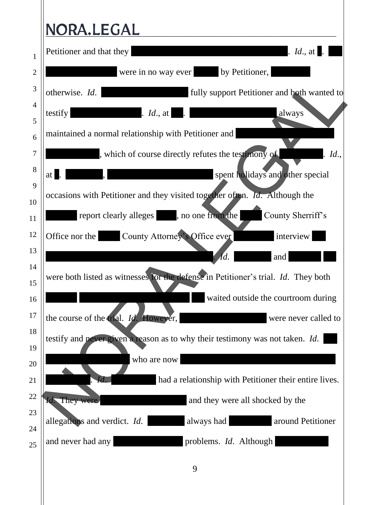| Petitioner and that they<br>otherwise. Id.<br>$Id.,$ at $\blacksquare$ .<br>testify<br>maintained a normal relationship with Petitioner and | $Id.,$ at $\Box$<br>were in no way ever by Petitioner,<br>fully support Petitioner and both wanted to<br>always |
|---------------------------------------------------------------------------------------------------------------------------------------------|-----------------------------------------------------------------------------------------------------------------|
|                                                                                                                                             |                                                                                                                 |
|                                                                                                                                             |                                                                                                                 |
|                                                                                                                                             |                                                                                                                 |
|                                                                                                                                             |                                                                                                                 |
|                                                                                                                                             |                                                                                                                 |
|                                                                                                                                             | , which of course directly refutes the testimony of<br>ld.                                                      |
| at                                                                                                                                          | spent holidays and other special                                                                                |
|                                                                                                                                             | occasions with Petitioner and they visited together often. Id. Although the                                     |
|                                                                                                                                             | report clearly alleges , no one from the County Sherriff's                                                      |
| Office nor the County Attorney's Office ever                                                                                                | interview                                                                                                       |
|                                                                                                                                             | $\overline{M}$ d.<br>and                                                                                        |
|                                                                                                                                             | were both listed as witnesses for the defense in Petitioner's trial. <i>Id</i> . They both                      |
|                                                                                                                                             | waited outside the courtroom during                                                                             |
| the course of the trial. Id. However,                                                                                                       | were never called to                                                                                            |
|                                                                                                                                             | testify and never given a reason as to why their testimony was not taken. <i>Id.</i>                            |
| who are now                                                                                                                                 |                                                                                                                 |
|                                                                                                                                             | had a relationship with Petitioner their entire lives.                                                          |
| Id. They were                                                                                                                               | and they were all shocked by the                                                                                |
| allegations and verdict. <i>Id.</i>                                                                                                         | always had<br>around Petitioner                                                                                 |
| and never had any                                                                                                                           | problems. <i>Id.</i> Although                                                                                   |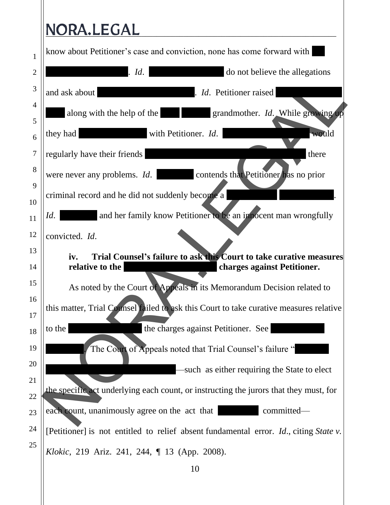| $\mathbf{1}$   | know about Petitioner's case and conviction, none has come forward with                                                      |
|----------------|------------------------------------------------------------------------------------------------------------------------------|
| $\overline{2}$ | $.$ Id.<br>do not believe the allegations                                                                                    |
| 3              | and ask about<br><i>Id.</i> Petitioner raised<br>$\mathcal{L}$                                                               |
| $\overline{4}$ | grandmother. <i>Id.</i> While growing up<br>along with the help of the                                                       |
| 5<br>6         | with Petitioner. Id.<br>they had<br>would                                                                                    |
| 7              | regularly have their friends<br>there                                                                                        |
| 8              | were never any problems. <i>Id.</i> contends that Petitioner has no prior                                                    |
| 9              |                                                                                                                              |
| 10             | criminal record and he did not suddenly become a                                                                             |
| 11             | and her family know Petitioner to be an inpocent man wrongfully<br>Id.                                                       |
| 12<br>13       | convicted. Id.                                                                                                               |
| 14             | Trial Counsel's failure to ask this Court to take curative measures<br>iv.<br>relative to the<br>charges against Petitioner. |
| 15             | As noted by the Court of Appeals in its Memorandum Decision related to                                                       |
| 16             | this matter, Trial Counsel failed to ask this Court to take curative measures relative                                       |
| 17             | to the<br>the charges against Petitioner. See                                                                                |
| 18<br>19       | The Court of Appeals noted that Trial Counsel's failure "                                                                    |
| 20             |                                                                                                                              |
| 21             | such as either requiring the State to elect                                                                                  |
| 22             | the specific act underlying each count, or instructing the jurors that they must, for                                        |
| 23             | committed-<br>each count, unanimously agree on the act that                                                                  |
| 24<br>25       | [Petitioner] is not entitled to relief absent fundamental error. <i>Id.</i> , citing State v.                                |
|                | Klokic, 219 Ariz. 241, 244, ¶ 13 (App. 2008).                                                                                |
|                | 1 <sub>0</sub>                                                                                                               |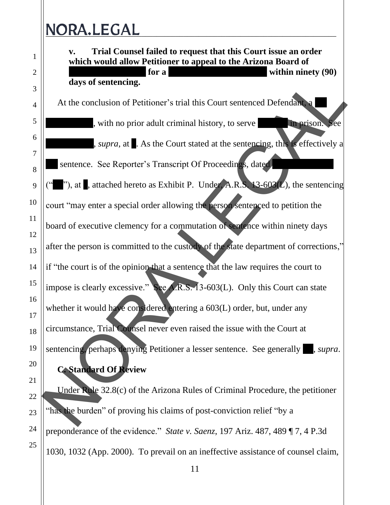1 21 22 23 24 **v. Trial Counsel failed to request that this Court issue an order which would allow Petitioner to appeal to the Arizona Board of For a Executive Commutation of Sentence COMMUNIST COMPUTATION COMPUTATION COMPUTATION COMPUTATION days of sentencing.**  At the conclusion of Petitioner's trial this Court sentenced Defendant, a with no prior adult criminal history, to serve **23 years in prison.** See  $\Box$ , *supra*, at  $\Box$ . As the Court stated at the sentencing, this is effectively a sentence. See Reporter's Transcript Of Proceedings, dated  $"$ ), at  $\blacksquare$ , attached hereto as Exhibit P. Under, A.R.S. 13-603(L), the sentencing court "may enter a special order allowing the person sentenced to petition the board of executive clemency for a commutation of sentence within ninety days after the person is committed to the custody of the state department of corrections," if "the court is of the opinion that a sentence that the law requires the court to impose is clearly excessive." See A.R.S. 13-603(L). Only this Court can state whether it would have considered entering a 603(L) order, but, under any circumstance, Trial Counsel never even raised the issue with the Court at sentencing, perhaps denying Petitioner a lesser sentence. See generally supra. **C. Standard Of Review**  Under Rule 32.8(c) of the Arizona Rules of Criminal Procedure, the petitioner "has the burden" of proving his claims of post-conviction relief "by a preponderance of the evidence." *State v. Saenz*, 197 Ariz. 487, 489 ¶ 7, 4 P.3d 1030, 1032 (App. 2000). To prevail on an ineffective assistance of counsel claim, days of sentencing.<br>
At the conclusion of Petitioner's trial this Court sentence delendant<br>
with no prior adult criminal history, to serve<br>
surface the sentence. See Reporter's Transcript Of Proceeding, the sentencing<br>
(\*1

25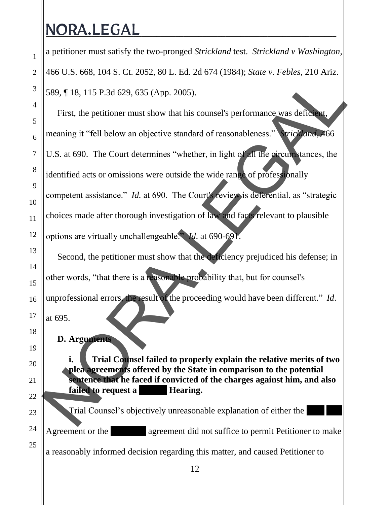a petitioner must satisfy the two-pronged *Strickland* test. *Strickland v Washington,*  466 U.S. 668, 104 S. Ct. 2052, 80 L. Ed. 2d 674 (1984); *State v. Febles*, 210 Ariz. 589, ¶ 18, 115 P.3d 629, 635 (App. 2005).

First, the petitioner must show that his counsel's performance was deficient, meaning it "fell below an objective standard of reasonableness." *Strickland*, 466 U.S. at 690. The Court determines "whether, in light of all the circumstances, the identified acts or omissions were outside the wide range of professionally competent assistance." *Id.* at 690. The Court's review is deferential, as "strategic choices made after thorough investigation of law and facts relevant to plausible options are virtually unchallengeable." *Id*. at 690-691. 589. 1 18, 115 P.3d 629, 635 (App. 2005).<br>
First, the petitioner must show that his counsel's performance was defined<br>
meaning it "fell below an objective standard of reasonableness."<br>
were also although the count of the

Second, the petitioner must show that the deficiency prejudiced his defense; in other words, "that there is a reasonable probability that, but for counsel's

unprofessional errors, the result of the proceeding would have been different." *Id*.

at 695.

**D. Arguments**

**i. Trial Counsel failed to properly explain the relative merits of two plea agreements offered by the State in comparison to the potential sentence that he faced if convicted of the charges against him, and also failed to request a Hearing.** 

Trial Counsel's objectively unreasonable explanation of either the Agreement or the 2017 agreement did not suffice to permit Petitioner to make a reasonably informed decision regarding this matter, and caused Petitioner to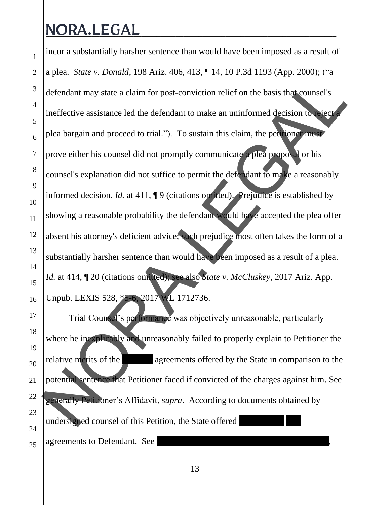1

2

3

4

5

6

7

8

9

10

11

incur a substantially harsher sentence than would have been imposed as a result of a plea. *State v. Donald*, 198 Ariz. 406, 413, ¶ 14, 10 P.3d 1193 (App. 2000); ("a defendant may state a claim for post-conviction relief on the basis that counsel's ineffective assistance led the defendant to make an uninformed decision to reject a plea bargain and proceed to trial."). To sustain this claim, the petitioner must prove either his counsel did not promptly communicate a plea proposal or his counsel's explanation did not suffice to permit the defendant to make a reasonably informed decision. *Id.* at 411, ¶ 9 (citations omitted). Prejudice is established by showing a reasonable probability the defendant would have accepted the plea offer absent his attorney's deficient advice; such prejudice most often takes the form of a substantially harsher sentence than would have been imposed as a result of a plea. *Id.* at 414, ¶ 20 (citations omitted); see also *State v. McCluskey*, 2017 Ariz. App. Unpub. LEXIS 528, \*5-6, 2017 WL 1712736. defendant may state a claim for post-conviction relief on the basis that connects<br>ineffective assistance led the defendant to make an uninformed decision to sheep<br>plea bargain and proceed to trial."). To sustain this claim

Trial Counsel's performance was objectively unreasonable, particularly where he inexplicably and unreasonably failed to properly explain to Petitioner the relative merits of the two pleases agreements offered by the State in comparison to the potential sentence that Petitioner faced if convicted of the charges against him. See generally Petitioner's Affidavit, *supra*. According to documents obtained by undersigned counsel of this Petition, the State offered agreements to Defendant. See  $\, , \,$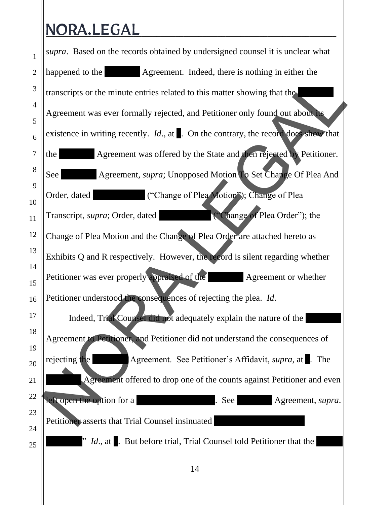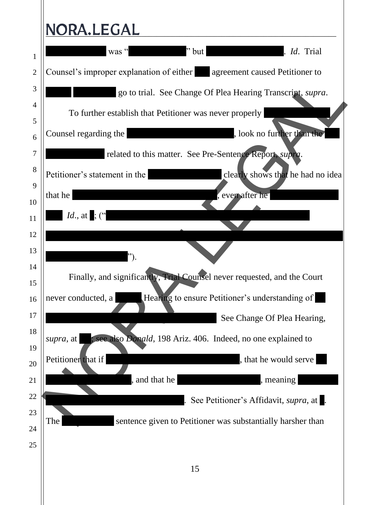# $\bigl\Vert \underline{\text{NORA.LEGAL}}$

| $\mathbf{1}$   | $"$ but<br>was "<br><i>. Id.</i> Trial                                                                         |
|----------------|----------------------------------------------------------------------------------------------------------------|
| $\overline{2}$ | Counsel's improper explanation of either agreement caused Petitioner to                                        |
| 3              | go to trial. See Change Of Plea Hearing Transcript, supra.                                                     |
| $\overline{4}$ | To further establish that Petitioner was never properly                                                        |
| 5<br>6         | Counsel regarding the counsel regarding the counsel regarding the counsel of the counsel regarding the counsel |
| 7              | related to this matter. See Pre-Sentence Report, supra.                                                        |
| 8              | clearly shows that he had no idea<br>Petitioner's statement in the                                             |
| 9<br>10        | that he<br>even after he                                                                                       |
| 11             | $Id.,$ at $\mid$ ; ("                                                                                          |
| 12             |                                                                                                                |
| 13             |                                                                                                                |
| 14<br>15       | Finally, and significantly, Trial Counsel never requested, and the Court                                       |
| 16             | never conducted, a <b>Meaning to ensure Petitioner's understanding of</b>                                      |
| 17             | See Change Of Plea Hearing,                                                                                    |
| 18             | see also Donald, 198 Ariz. 406. Indeed, no one explained to<br>supra, at                                       |
| 19<br>20       | Petitioner that if<br>that he would serve                                                                      |
| 21             | and that he<br>meaning                                                                                         |
| 22             | See Petitioner's Affidavit, <i>supra</i> , at .                                                                |
| 23             | sentence given to Petitioner was substantially harsher than<br>The                                             |
| 24<br>25       |                                                                                                                |
|                | 15                                                                                                             |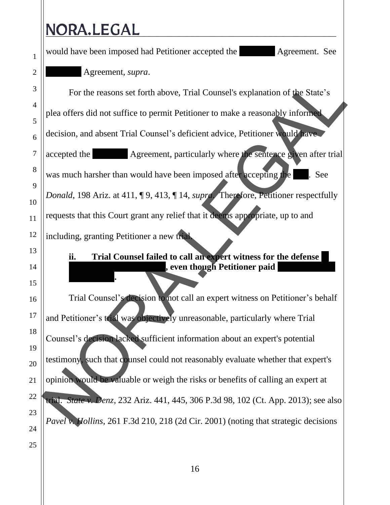1 2 3 4 5 6 7 8 9 10 11 12 13 14 15 16 17 18 19 20 21 22 23 24 25 would have been imposed had Petitioner accepted the **2017 Agreement.** See Agreement, *supra*. For the reasons set forth above, Trial Counsel's explanation of the State's plea offers did not suffice to permit Petitioner to make a reasonably informed decision, and absent Trial Counsel's deficient advice, Petitioner would have accepted the 2017 Agreement, particularly where the sentence given after trial was much harsher than would have been imposed after accepting the Please. See *Donald*, 198 Ariz. at 411, ¶ 9, 413, ¶ 14, *supra*. Therefore, Petitioner respectfully requests that this Court grant any relief that it deems appropriate, up to and including, granting Petitioner a new trial. **ii. Trial Counsel failed to call an expert witness for the defense combat though Petitioner paid of an expert.** Trial Counsel's decision to not call an expert witness on Petitioner's behalf and Petitioner's trial was objectively unreasonable, particularly where Trial Counsel's decision lacked sufficient information about an expert's potential testimony, such that counsel could not reasonably evaluate whether that expert's opinion would be valuable or weigh the risks or benefits of calling an expert at trial. *State v. Denz*, 232 Ariz. 441, 445, 306 P.3d 98, 102 (Ct. App. 2013); see also *Pavel v. Hollins,* 261 F.3d 210, 218 (2d Cir. 2001) (noting that strategic decisionsFor the reasons set forth above. Trial Counsel's explanation of the State's<br>plea offers did not suffice to permit Petitioner to make a reasonably informed<br>decision, and absent Trial Counsel's deficient advice. Petitioner w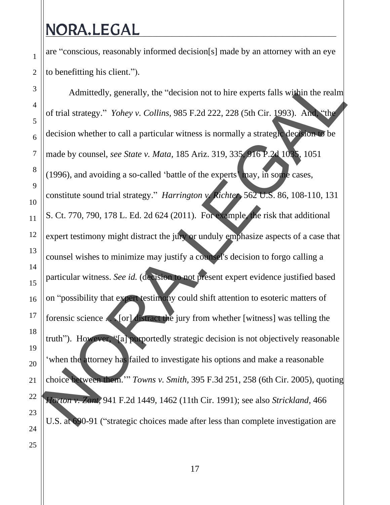are "conscious, reasonably informed decision[s] made by an attorney with an eye to benefitting his client.").

Admittedly, generally, the "decision not to hire experts falls within the realm of trial strategy." *Yohey v. Collins,* 985 F.2d 222, 228 (5th Cir. 1993). And, "the decision whether to call a particular witness is normally a strategic decision to be made by counsel, *see State v. Mata,* 185 Ariz. 319, 335, 916 P.2d 1035, 1051 (1996), and avoiding a so-called 'battle of the experts' may, in some cases, constitute sound trial strategy." *Harrington v. Richter*, 562 U.S. 86, 108-110, 131 S. Ct. 770, 790, 178 L. Ed. 2d 624 (2011). For example, the risk that additional expert testimony might distract the jury or unduly emphasize aspects of a case that counsel wishes to minimize may justify a counsel's decision to forgo calling a particular witness. *See id.* (decision to not present expert evidence justified based on "possibility that expert testimony could shift attention to esoteric matters of forensic science . . . [or] distract the jury from whether [witness] was telling the truth"). However, "[a] purportedly strategic decision is not objectively reasonable 'when the attorney has failed to investigate his options and make a reasonable choice between them.'" *Towns v. Smith,* 395 F.3d 251, 258 (6th Cir. 2005), quoting *Horton v. Zant,* 941 F.2d 1449, 1462 (11th Cir. 1991); see also *Strickland,* 466 U.S. at 690-91 ("strategic choices made after less than complete investigation are Admittedly, generally, the "decision not to hire experts falls within the realm<br>of trial strategy." *Yohey v. Collins, 985 F.2d 222, 228* (5th Cir. 1993). And with<br>decision whether to call a particular witness is normally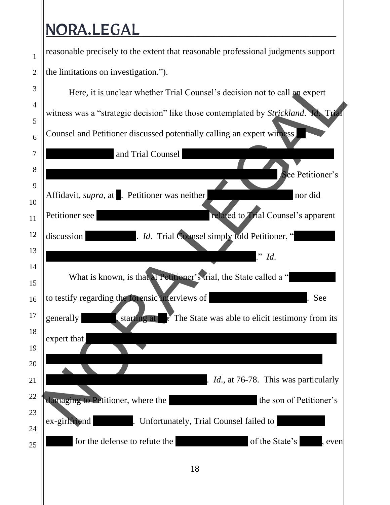| $\mathbf{1}$ | reasonable precisely to the extent that reasonable professional judgments support    |
|--------------|--------------------------------------------------------------------------------------|
|              |                                                                                      |
|              | the limitations on investigation.").                                                 |
|              | Here, it is unclear whether Trial Counsel's decision not to call an expert           |
|              | witness was a "strategic decision" like those contemplated by Strickland. Id. Trial  |
|              | Counsel and Petitioner discussed potentially calling an expert witness               |
|              | and Trial Counsel                                                                    |
|              | See Petitioner's<br>Affidavit, <i>supra</i> , at . Petitioner was neither<br>nor did |
|              | related to Trial Counsel's apparent<br>Petitioner see                                |
|              | <i>Id.</i> Trial Counsel simply told Petitioner, "<br>discussion                     |
|              | $\therefore$ <i>Id.</i>                                                              |
|              | What is known, is that at Petitioner's trial, the State called a "                   |
|              | to testify regarding the forensic interviews of<br>See                               |
|              | starting at r The State was able to elicit testimony from its<br>generally           |
|              | expert that                                                                          |
|              |                                                                                      |
|              | . <i>Id.</i> , at 76-78. This was particularly                                       |
|              | damaging to Petitioner, where the<br>the son of Petitioner's                         |
|              | $ex$ -girlfriend<br>Unfortunately, Trial Counsel failed to                           |
|              | for the defense to refute the<br>of the State's<br>even                              |
|              | 18                                                                                   |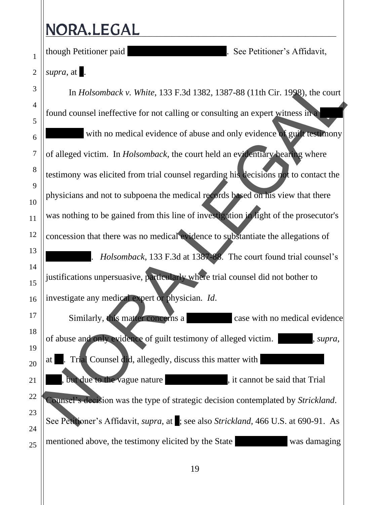though Petitioner paid for the services of an experiment of an experiment of an experiment of an experiment of  $\mathbb{R}^n$ . See Petitioner's Affidavit,

*supra*, at .

In *Holsomback v. White*, 133 F.3d 1382, 1387-88 (11th Cir. 1998), the court found counsel ineffective for not calling or consulting an expert witness in a with no medical evidence of abuse and only evidence of guilt testimony of alleged victim. In *Holsomback*, the court held an evidentiary hearing where testimony was elicited from trial counsel regarding his decisions not to contact the physicians and not to subpoena the medical records based on his view that there was nothing to be gained from this line of investigation in light of the prosecutor's concession that there was no medical evidence to substantiate the allegations of Holsomback, 133 F.3d at 1387-88. The court found trial counsel's justifications unpersuasive, particularly where trial counsel did not bother to investigate any medical expert or physician. *Id*. Similarly, this matter concerns a sexual case with no medical evidence of abuse and only evidence of guilt testimony of alleged victim. Supra, at  $\blacksquare$ . Trial Counsel did, allegedly, discuss this matter with  $\blacksquare$ but due to the vague nature **of the vague nature of that discussion**, it cannot be said that Trial Counsel's decision was the type of strategic decision contemplated by *Strickland*. See Petitioner's Affidavit, *supra*, at: see also *Strickland*, 466 U.S. at 690-91. As mentioned above, the testimony elicited by the State **From its expert was damaging** In Holsomback v. White, 133 F.3d 1382, 1387-88 (11th Cir. 1998), the court<br>
from dounsel ineffective for not calling or consulting an expert witness in<br>
with no medical evidence of abuse and only evidence<br>
where<br>
testimon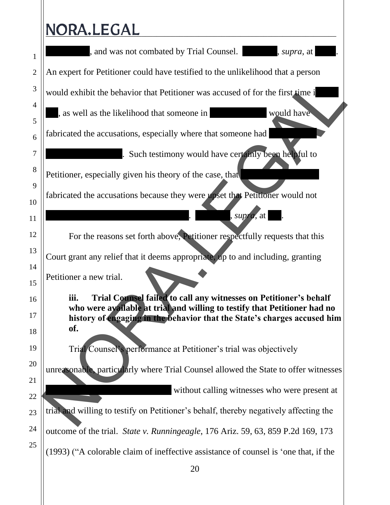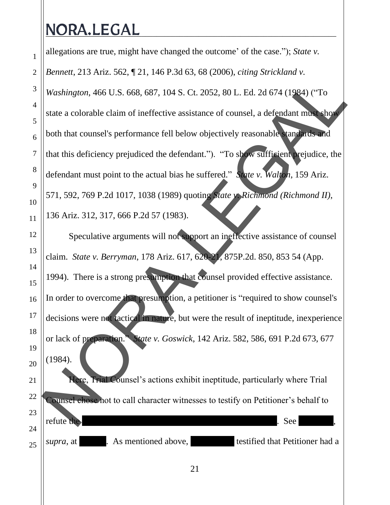1 2 3 4 5 6 7 8 9 10 11 12 13 14 15 16 17 18 19 20 21 22 23 24 25 allegations are true, might have changed the outcome' of the case."); *State v. Bennett*, 213 Ariz. 562, ¶ 21, 146 P.3d 63, 68 (2006), *citing Strickland v. Washington*, 466 U.S. 668, 687, 104 S. Ct. 2052, 80 L. Ed. 2d 674 (1984) ("To state a colorable claim of ineffective assistance of counsel, a defendant must show both that counsel's performance fell below objectively reasonable standards and that this deficiency prejudiced the defendant."). "To show sufficient prejudice, the defendant must point to the actual bias he suffered." *State v. Walton*, 159 Ariz. 571, 592, 769 P.2d 1017, 1038 (1989) quoting *State v. Richmond (Richmond II)*, 136 Ariz. 312, 317, 666 P.2d 57 (1983). Speculative arguments will not support an ineffective assistance of counsel claim. *State v. Berryman*, 178 Ariz. 617, 620-21, 875P.2d. 850, 853 54 (App. 1994). There is a strong presumption that counsel provided effective assistance. In order to overcome that presumption, a petitioner is "required to show counsel's decisions were not tactical in nature, but were the result of ineptitude, inexperience or lack of preparation." *State v. Goswick*, 142 Ariz. 582, 586, 691 P.2d 673, 677 (1984). Here, Trial Counsel's actions exhibit ineptitude, particularly where Trial Counsel chose not to call character witnesses to testify on Petitioner's behalf to refute the damaging testimony of Ms. See TT Day 3, See TT Day 3, See TT Day 3, See TT Day 3, See TT Day 3, See TT Day 3, See TT Day 3, See TT Day 3, See TT Day 3, See TT Day 3, See TT Day 3, See TT Day 3, See TT Day 3, See *supra*, at Washington, 466 U.S. 668, 687, 104 S. Ct. 2052, 80 L. Ed. 2d 674 (1984) ("To<br>state a colorable claim of ineffective assistance of counsel, a defendant more shown<br>both that counsel's performance fell below objectively reas 74. As mentioned above, Muslim testified that Petitioner had a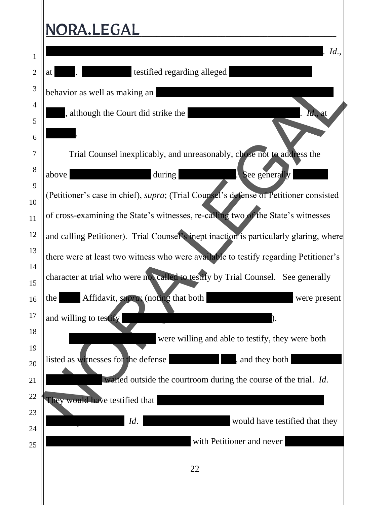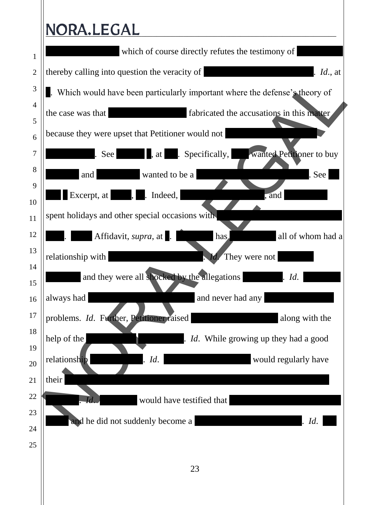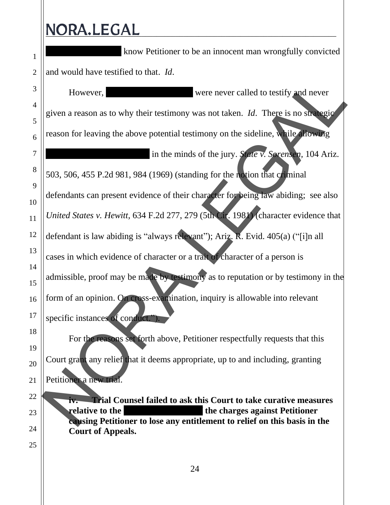| $\mathbf{1}$   | know Petitioner to be an innocent man wrongfully convicted                                            |  |
|----------------|-------------------------------------------------------------------------------------------------------|--|
| $\overline{2}$ | and would have testified to that. Id.                                                                 |  |
| 3              | However,<br>were never called to testify and never                                                    |  |
| $\overline{4}$ | given a reason as to why their testimony was not taken. <i>Id</i> . There is no strategic             |  |
| 5<br>6         | reason for leaving the above potential testimony on the sideline, while allowing                      |  |
| $\overline{7}$ | in the minds of the jury. <i>State v. Sorensen</i> , 104 Ariz.                                        |  |
| 8              | 503, 506, 455 P.2d 981, 984 (1969) (standing for the notion that criminal                             |  |
| 9              | defendants can present evidence of their character for being law abiding; see also                    |  |
| 10             |                                                                                                       |  |
| 11             | United States v. Hewitt, 634 F.2d 277, 279 (5th Cir. 1981) (character evidence that                   |  |
| 12<br>13       | defendant is law abiding is "always relevant"); Ariz. R. Evid. 405(a) ("[i]n all                      |  |
| 14             | cases in which evidence of character or a trait of character of a person is                           |  |
| 15             | admissible, proof may be made by testimony as to reputation or by testimony in the                    |  |
| 16             | form of an opinion. On cross-examination, inquiry is allowable into relevant                          |  |
| 17             | specific instances of conduct.").                                                                     |  |
| 18             | For the reasons set forth above, Petitioner respectfully requests that this                           |  |
| 19<br>20       | Court grant any relief that it deems appropriate, up to and including, granting                       |  |
| 21             | Petitioner a new trial.                                                                               |  |
| 22             | <b>Trial Counsel failed to ask this Court to take curative measures</b><br>iv.                        |  |
| 23             | relative to the<br>the charges against Petitioner                                                     |  |
| 24             | causing Petitioner to lose any entitlement to relief on this basis in the<br><b>Court of Appeals.</b> |  |
| 25             |                                                                                                       |  |
|                |                                                                                                       |  |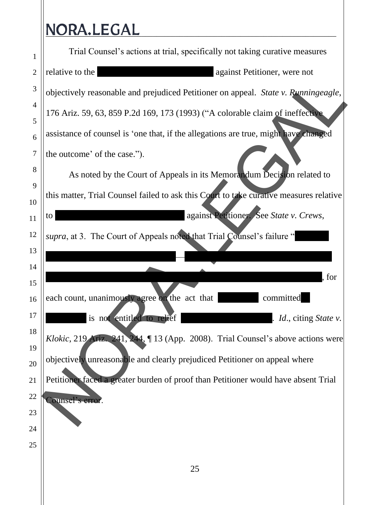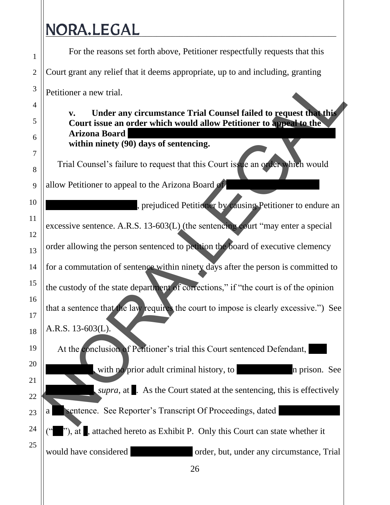